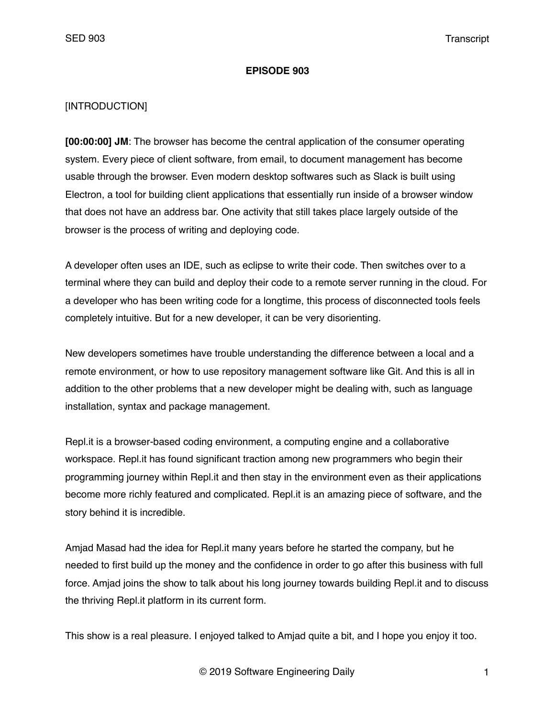#### **EPISODE 903**

### [INTRODUCTION]

**[00:00:00] JM**: The browser has become the central application of the consumer operating system. Every piece of client software, from email, to document management has become usable through the browser. Even modern desktop softwares such as Slack is built using Electron, a tool for building client applications that essentially run inside of a browser window that does not have an address bar. One activity that still takes place largely outside of the browser is the process of writing and deploying code.

A developer often uses an IDE, such as eclipse to write their code. Then switches over to a terminal where they can build and deploy their code to a remote server running in the cloud. For a developer who has been writing code for a longtime, this process of disconnected tools feels completely intuitive. But for a new developer, it can be very disorienting.

New developers sometimes have trouble understanding the difference between a local and a remote environment, or how to use repository management software like Git. And this is all in addition to the other problems that a new developer might be dealing with, such as language installation, syntax and package management.

Repl.it is a browser-based coding environment, a computing engine and a collaborative workspace. Repl.it has found significant traction among new programmers who begin their programming journey within Repl.it and then stay in the environment even as their applications become more richly featured and complicated. Repl.it is an amazing piece of software, and the story behind it is incredible.

Amjad Masad had the idea for Repl.it many years before he started the company, but he needed to first build up the money and the confidence in order to go after this business with full force. Amjad joins the show to talk about his long journey towards building Repl.it and to discuss the thriving Repl.it platform in its current form.

This show is a real pleasure. I enjoyed talked to Amjad quite a bit, and I hope you enjoy it too.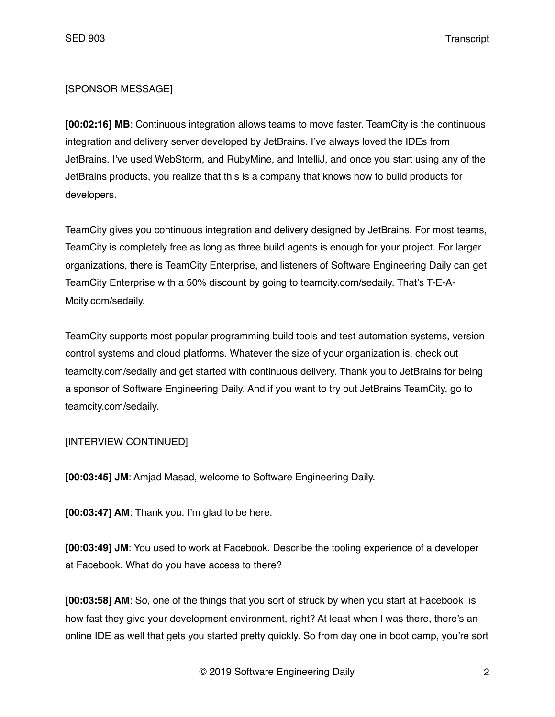### [SPONSOR MESSAGE]

**[00:02:16] MB**: Continuous integration allows teams to move faster. TeamCity is the continuous integration and delivery server developed by JetBrains. I've always loved the IDEs from JetBrains. I've used WebStorm, and RubyMine, and IntelliJ, and once you start using any of the JetBrains products, you realize that this is a company that knows how to build products for developers.

TeamCity gives you continuous integration and delivery designed by JetBrains. For most teams, TeamCity is completely free as long as three build agents is enough for your project. For larger organizations, there is TeamCity Enterprise, and listeners of Software Engineering Daily can get TeamCity Enterprise with a 50% discount by going to teamcity.com/sedaily. That's T-E-A-Mcity.com/sedaily.

TeamCity supports most popular programming build tools and test automation systems, version control systems and cloud platforms. Whatever the size of your organization is, check out teamcity.com/sedaily and get started with continuous delivery. Thank you to JetBrains for being a sponsor of Software Engineering Daily. And if you want to try out JetBrains TeamCity, go to teamcity.com/sedaily.

#### [INTERVIEW CONTINUED]

**[00:03:45] JM**: Amjad Masad, welcome to Software Engineering Daily.

**[00:03:47] AM**: Thank you. I'm glad to be here.

**[00:03:49] JM**: You used to work at Facebook. Describe the tooling experience of a developer at Facebook. What do you have access to there?

**[00:03:58] AM**: So, one of the things that you sort of struck by when you start at Facebook is how fast they give your development environment, right? At least when I was there, there's an online IDE as well that gets you started pretty quickly. So from day one in boot camp, you're sort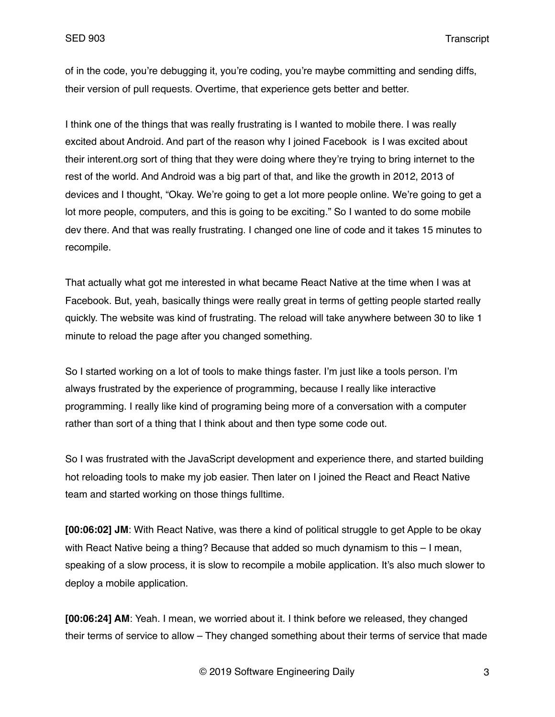of in the code, you're debugging it, you're coding, you're maybe committing and sending diffs, their version of pull requests. Overtime, that experience gets better and better.

I think one of the things that was really frustrating is I wanted to mobile there. I was really excited about Android. And part of the reason why I joined Facebook is I was excited about their interent.org sort of thing that they were doing where they're trying to bring internet to the rest of the world. And Android was a big part of that, and like the growth in 2012, 2013 of devices and I thought, "Okay. We're going to get a lot more people online. We're going to get a lot more people, computers, and this is going to be exciting." So I wanted to do some mobile dev there. And that was really frustrating. I changed one line of code and it takes 15 minutes to recompile.

That actually what got me interested in what became React Native at the time when I was at Facebook. But, yeah, basically things were really great in terms of getting people started really quickly. The website was kind of frustrating. The reload will take anywhere between 30 to like 1 minute to reload the page after you changed something.

So I started working on a lot of tools to make things faster. I'm just like a tools person. I'm always frustrated by the experience of programming, because I really like interactive programming. I really like kind of programing being more of a conversation with a computer rather than sort of a thing that I think about and then type some code out.

So I was frustrated with the JavaScript development and experience there, and started building hot reloading tools to make my job easier. Then later on I joined the React and React Native team and started working on those things fulltime.

**[00:06:02] JM**: With React Native, was there a kind of political struggle to get Apple to be okay with React Native being a thing? Because that added so much dynamism to this – I mean, speaking of a slow process, it is slow to recompile a mobile application. It's also much slower to deploy a mobile application.

**[00:06:24] AM**: Yeah. I mean, we worried about it. I think before we released, they changed their terms of service to allow – They changed something about their terms of service that made

© 2019 Software Engineering Daily 3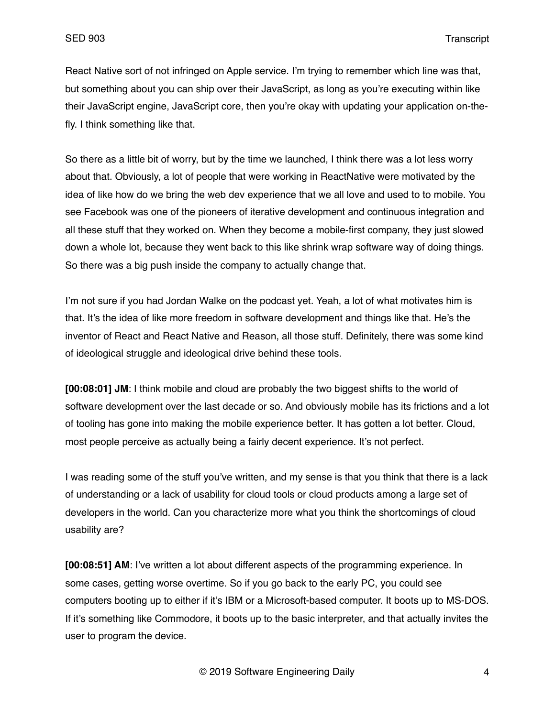React Native sort of not infringed on Apple service. I'm trying to remember which line was that, but something about you can ship over their JavaScript, as long as you're executing within like their JavaScript engine, JavaScript core, then you're okay with updating your application on-thefly. I think something like that.

So there as a little bit of worry, but by the time we launched, I think there was a lot less worry about that. Obviously, a lot of people that were working in ReactNative were motivated by the idea of like how do we bring the web dev experience that we all love and used to to mobile. You see Facebook was one of the pioneers of iterative development and continuous integration and all these stuff that they worked on. When they become a mobile-first company, they just slowed down a whole lot, because they went back to this like shrink wrap software way of doing things. So there was a big push inside the company to actually change that.

I'm not sure if you had Jordan Walke on the podcast yet. Yeah, a lot of what motivates him is that. It's the idea of like more freedom in software development and things like that. He's the inventor of React and React Native and Reason, all those stuff. Definitely, there was some kind of ideological struggle and ideological drive behind these tools.

**[00:08:01] JM**: I think mobile and cloud are probably the two biggest shifts to the world of software development over the last decade or so. And obviously mobile has its frictions and a lot of tooling has gone into making the mobile experience better. It has gotten a lot better. Cloud, most people perceive as actually being a fairly decent experience. It's not perfect.

I was reading some of the stuff you've written, and my sense is that you think that there is a lack of understanding or a lack of usability for cloud tools or cloud products among a large set of developers in the world. Can you characterize more what you think the shortcomings of cloud usability are?

**[00:08:51] AM**: I've written a lot about different aspects of the programming experience. In some cases, getting worse overtime. So if you go back to the early PC, you could see computers booting up to either if it's IBM or a Microsoft-based computer. It boots up to MS-DOS. If it's something like Commodore, it boots up to the basic interpreter, and that actually invites the user to program the device.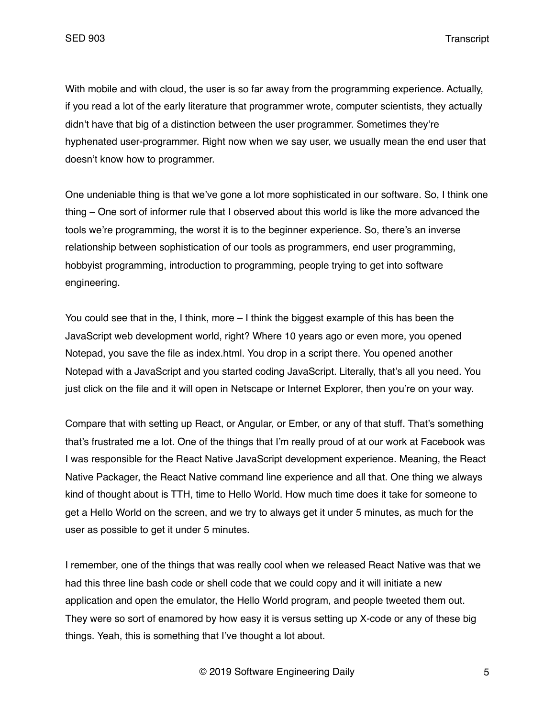With mobile and with cloud, the user is so far away from the programming experience. Actually, if you read a lot of the early literature that programmer wrote, computer scientists, they actually didn't have that big of a distinction between the user programmer. Sometimes they're hyphenated user-programmer. Right now when we say user, we usually mean the end user that doesn't know how to programmer.

One undeniable thing is that we've gone a lot more sophisticated in our software. So, I think one thing – One sort of informer rule that I observed about this world is like the more advanced the tools we're programming, the worst it is to the beginner experience. So, there's an inverse relationship between sophistication of our tools as programmers, end user programming, hobbyist programming, introduction to programming, people trying to get into software engineering.

You could see that in the, I think, more – I think the biggest example of this has been the JavaScript web development world, right? Where 10 years ago or even more, you opened Notepad, you save the file as index.html. You drop in a script there. You opened another Notepad with a JavaScript and you started coding JavaScript. Literally, that's all you need. You just click on the file and it will open in Netscape or Internet Explorer, then you're on your way.

Compare that with setting up React, or Angular, or Ember, or any of that stuff. That's something that's frustrated me a lot. One of the things that I'm really proud of at our work at Facebook was I was responsible for the React Native JavaScript development experience. Meaning, the React Native Packager, the React Native command line experience and all that. One thing we always kind of thought about is TTH, time to Hello World. How much time does it take for someone to get a Hello World on the screen, and we try to always get it under 5 minutes, as much for the user as possible to get it under 5 minutes.

I remember, one of the things that was really cool when we released React Native was that we had this three line bash code or shell code that we could copy and it will initiate a new application and open the emulator, the Hello World program, and people tweeted them out. They were so sort of enamored by how easy it is versus setting up X-code or any of these big things. Yeah, this is something that I've thought a lot about.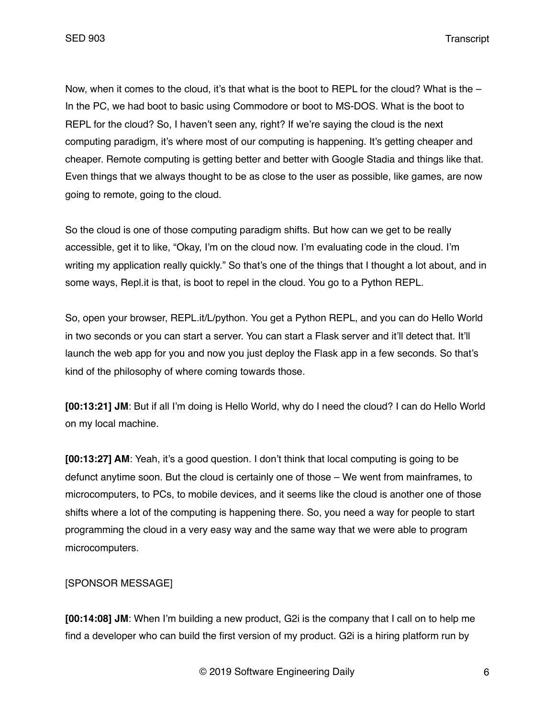Now, when it comes to the cloud, it's that what is the boot to REPL for the cloud? What is the  $-$ In the PC, we had boot to basic using Commodore or boot to MS-DOS. What is the boot to REPL for the cloud? So, I haven't seen any, right? If we're saying the cloud is the next computing paradigm, it's where most of our computing is happening. It's getting cheaper and cheaper. Remote computing is getting better and better with Google Stadia and things like that. Even things that we always thought to be as close to the user as possible, like games, are now going to remote, going to the cloud.

So the cloud is one of those computing paradigm shifts. But how can we get to be really accessible, get it to like, "Okay, I'm on the cloud now. I'm evaluating code in the cloud. I'm writing my application really quickly." So that's one of the things that I thought a lot about, and in some ways, Repl.it is that, is boot to repel in the cloud. You go to a Python REPL.

So, open your browser, REPL.it/L/python. You get a Python REPL, and you can do Hello World in two seconds or you can start a server. You can start a Flask server and it'll detect that. It'll launch the web app for you and now you just deploy the Flask app in a few seconds. So that's kind of the philosophy of where coming towards those.

**[00:13:21] JM**: But if all I'm doing is Hello World, why do I need the cloud? I can do Hello World on my local machine.

**[00:13:27] AM**: Yeah, it's a good question. I don't think that local computing is going to be defunct anytime soon. But the cloud is certainly one of those – We went from mainframes, to microcomputers, to PCs, to mobile devices, and it seems like the cloud is another one of those shifts where a lot of the computing is happening there. So, you need a way for people to start programming the cloud in a very easy way and the same way that we were able to program microcomputers.

[SPONSOR MESSAGE]

**[00:14:08] JM**: When I'm building a new product, G2i is the company that I call on to help me find a developer who can build the first version of my product. G2i is a hiring platform run by

© 2019 Software Engineering Daily 6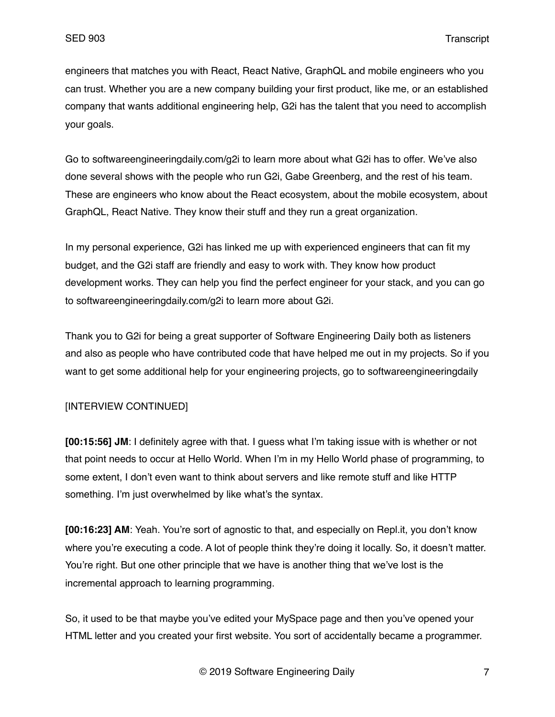engineers that matches you with React, React Native, GraphQL and mobile engineers who you can trust. Whether you are a new company building your first product, like me, or an established company that wants additional engineering help, G2i has the talent that you need to accomplish your goals.

Go to softwareengineeringdaily.com/g2i to learn more about what G2i has to offer. We've also done several shows with the people who run G2i, Gabe Greenberg, and the rest of his team. These are engineers who know about the React ecosystem, about the mobile ecosystem, about GraphQL, React Native. They know their stuff and they run a great organization.

In my personal experience, G2i has linked me up with experienced engineers that can fit my budget, and the G2i staff are friendly and easy to work with. They know how product development works. They can help you find the perfect engineer for your stack, and you can go to softwareengineeringdaily.com/g2i to learn more about G2i.

Thank you to G2i for being a great supporter of Software Engineering Daily both as listeners and also as people who have contributed code that have helped me out in my projects. So if you want to get some additional help for your engineering projects, go to softwareengineeringdaily

# [INTERVIEW CONTINUED]

**[00:15:56] JM**: I definitely agree with that. I guess what I'm taking issue with is whether or not that point needs to occur at Hello World. When I'm in my Hello World phase of programming, to some extent, I don't even want to think about servers and like remote stuff and like HTTP something. I'm just overwhelmed by like what's the syntax.

**[00:16:23] AM**: Yeah. You're sort of agnostic to that, and especially on Repl.it, you don't know where you're executing a code. A lot of people think they're doing it locally. So, it doesn't matter. You're right. But one other principle that we have is another thing that we've lost is the incremental approach to learning programming.

So, it used to be that maybe you've edited your MySpace page and then you've opened your HTML letter and you created your first website. You sort of accidentally became a programmer.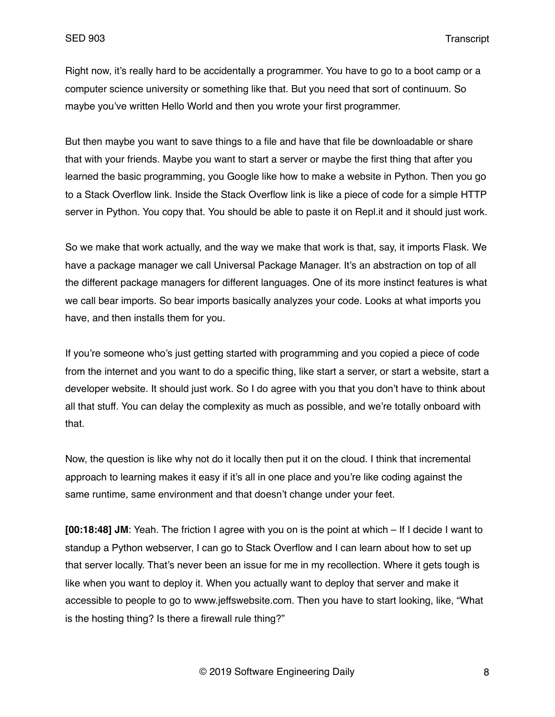Right now, it's really hard to be accidentally a programmer. You have to go to a boot camp or a computer science university or something like that. But you need that sort of continuum. So maybe you've written Hello World and then you wrote your first programmer.

But then maybe you want to save things to a file and have that file be downloadable or share that with your friends. Maybe you want to start a server or maybe the first thing that after you learned the basic programming, you Google like how to make a website in Python. Then you go to a Stack Overflow link. Inside the Stack Overflow link is like a piece of code for a simple HTTP server in Python. You copy that. You should be able to paste it on Repl.it and it should just work.

So we make that work actually, and the way we make that work is that, say, it imports Flask. We have a package manager we call Universal Package Manager. It's an abstraction on top of all the different package managers for different languages. One of its more instinct features is what we call bear imports. So bear imports basically analyzes your code. Looks at what imports you have, and then installs them for you.

If you're someone who's just getting started with programming and you copied a piece of code from the internet and you want to do a specific thing, like start a server, or start a website, start a developer website. It should just work. So I do agree with you that you don't have to think about all that stuff. You can delay the complexity as much as possible, and we're totally onboard with that.

Now, the question is like why not do it locally then put it on the cloud. I think that incremental approach to learning makes it easy if it's all in one place and you're like coding against the same runtime, same environment and that doesn't change under your feet.

**[00:18:48] JM**: Yeah. The friction I agree with you on is the point at which – If I decide I want to standup a Python webserver, I can go to Stack Overflow and I can learn about how to set up that server locally. That's never been an issue for me in my recollection. Where it gets tough is like when you want to deploy it. When you actually want to deploy that server and make it accessible to people to go to www.jeffswebsite.com. Then you have to start looking, like, "What is the hosting thing? Is there a firewall rule thing?"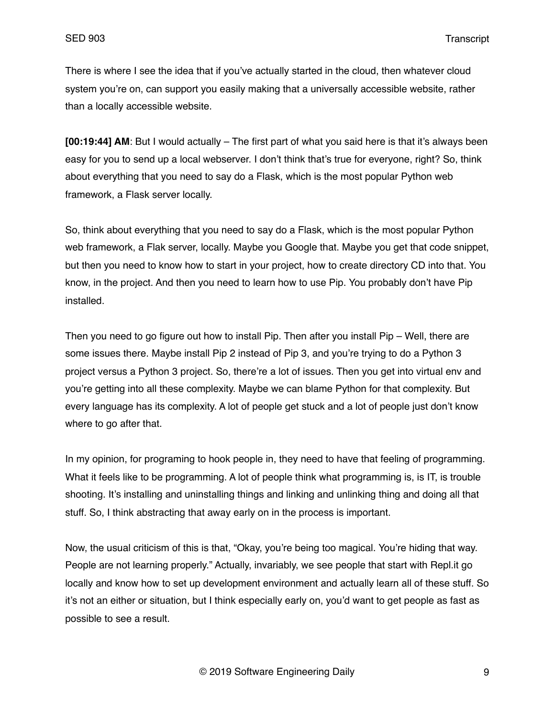There is where I see the idea that if you've actually started in the cloud, then whatever cloud system you're on, can support you easily making that a universally accessible website, rather than a locally accessible website.

**[00:19:44] AM**: But I would actually – The first part of what you said here is that it's always been easy for you to send up a local webserver. I don't think that's true for everyone, right? So, think about everything that you need to say do a Flask, which is the most popular Python web framework, a Flask server locally.

So, think about everything that you need to say do a Flask, which is the most popular Python web framework, a Flak server, locally. Maybe you Google that. Maybe you get that code snippet, but then you need to know how to start in your project, how to create directory CD into that. You know, in the project. And then you need to learn how to use Pip. You probably don't have Pip installed.

Then you need to go figure out how to install Pip. Then after you install Pip – Well, there are some issues there. Maybe install Pip 2 instead of Pip 3, and you're trying to do a Python 3 project versus a Python 3 project. So, there're a lot of issues. Then you get into virtual env and you're getting into all these complexity. Maybe we can blame Python for that complexity. But every language has its complexity. A lot of people get stuck and a lot of people just don't know where to go after that.

In my opinion, for programing to hook people in, they need to have that feeling of programming. What it feels like to be programming. A lot of people think what programming is, is IT, is trouble shooting. It's installing and uninstalling things and linking and unlinking thing and doing all that stuff. So, I think abstracting that away early on in the process is important.

Now, the usual criticism of this is that, "Okay, you're being too magical. You're hiding that way. People are not learning properly." Actually, invariably, we see people that start with Repl.it go locally and know how to set up development environment and actually learn all of these stuff. So it's not an either or situation, but I think especially early on, you'd want to get people as fast as possible to see a result.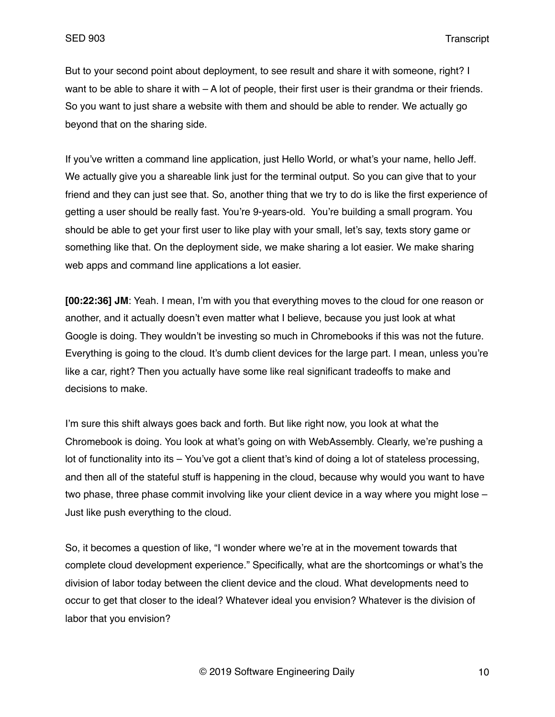But to your second point about deployment, to see result and share it with someone, right? I want to be able to share it with  $- A$  lot of people, their first user is their grandma or their friends. So you want to just share a website with them and should be able to render. We actually go beyond that on the sharing side.

If you've written a command line application, just Hello World, or what's your name, hello Jeff. We actually give you a shareable link just for the terminal output. So you can give that to your friend and they can just see that. So, another thing that we try to do is like the first experience of getting a user should be really fast. You're 9-years-old. You're building a small program. You should be able to get your first user to like play with your small, let's say, texts story game or something like that. On the deployment side, we make sharing a lot easier. We make sharing web apps and command line applications a lot easier.

**[00:22:36] JM**: Yeah. I mean, I'm with you that everything moves to the cloud for one reason or another, and it actually doesn't even matter what I believe, because you just look at what Google is doing. They wouldn't be investing so much in Chromebooks if this was not the future. Everything is going to the cloud. It's dumb client devices for the large part. I mean, unless you're like a car, right? Then you actually have some like real significant tradeoffs to make and decisions to make.

I'm sure this shift always goes back and forth. But like right now, you look at what the Chromebook is doing. You look at what's going on with WebAssembly. Clearly, we're pushing a lot of functionality into its – You've got a client that's kind of doing a lot of stateless processing, and then all of the stateful stuff is happening in the cloud, because why would you want to have two phase, three phase commit involving like your client device in a way where you might lose – Just like push everything to the cloud.

So, it becomes a question of like, "I wonder where we're at in the movement towards that complete cloud development experience." Specifically, what are the shortcomings or what's the division of labor today between the client device and the cloud. What developments need to occur to get that closer to the ideal? Whatever ideal you envision? Whatever is the division of labor that you envision?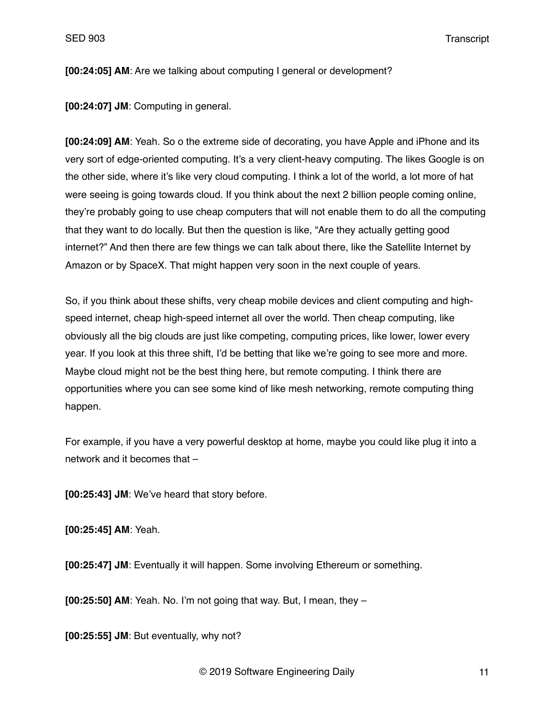**[00:24:05] AM**: Are we talking about computing I general or development?

**[00:24:07] JM**: Computing in general.

**[00:24:09] AM**: Yeah. So o the extreme side of decorating, you have Apple and iPhone and its very sort of edge-oriented computing. It's a very client-heavy computing. The likes Google is on the other side, where it's like very cloud computing. I think a lot of the world, a lot more of hat were seeing is going towards cloud. If you think about the next 2 billion people coming online, they're probably going to use cheap computers that will not enable them to do all the computing that they want to do locally. But then the question is like, "Are they actually getting good internet?" And then there are few things we can talk about there, like the Satellite Internet by Amazon or by SpaceX. That might happen very soon in the next couple of years.

So, if you think about these shifts, very cheap mobile devices and client computing and highspeed internet, cheap high-speed internet all over the world. Then cheap computing, like obviously all the big clouds are just like competing, computing prices, like lower, lower every year. If you look at this three shift, I'd be betting that like we're going to see more and more. Maybe cloud might not be the best thing here, but remote computing. I think there are opportunities where you can see some kind of like mesh networking, remote computing thing happen.

For example, if you have a very powerful desktop at home, maybe you could like plug it into a network and it becomes that –

**[00:25:43] JM**: We've heard that story before.

**[00:25:45] AM**: Yeah.

**[00:25:47] JM**: Eventually it will happen. Some involving Ethereum or something.

**[00:25:50] AM**: Yeah. No. I'm not going that way. But, I mean, they –

**[00:25:55] JM**: But eventually, why not?

© 2019 Software Engineering Daily 11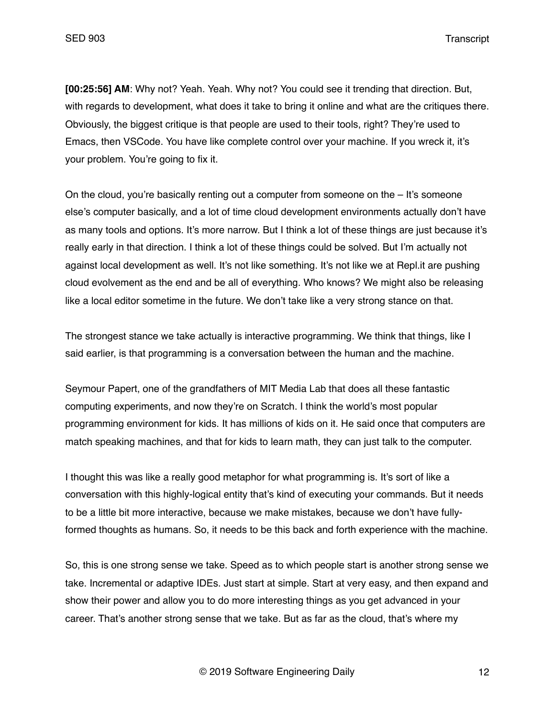**[00:25:56] AM**: Why not? Yeah. Yeah. Why not? You could see it trending that direction. But, with regards to development, what does it take to bring it online and what are the critiques there. Obviously, the biggest critique is that people are used to their tools, right? They're used to Emacs, then VSCode. You have like complete control over your machine. If you wreck it, it's your problem. You're going to fix it.

On the cloud, you're basically renting out a computer from someone on the  $-$  It's someone else's computer basically, and a lot of time cloud development environments actually don't have as many tools and options. It's more narrow. But I think a lot of these things are just because it's really early in that direction. I think a lot of these things could be solved. But I'm actually not against local development as well. It's not like something. It's not like we at Repl.it are pushing cloud evolvement as the end and be all of everything. Who knows? We might also be releasing like a local editor sometime in the future. We don't take like a very strong stance on that.

The strongest stance we take actually is interactive programming. We think that things, like I said earlier, is that programming is a conversation between the human and the machine.

Seymour Papert, one of the grandfathers of MIT Media Lab that does all these fantastic computing experiments, and now they're on Scratch. I think the world's most popular programming environment for kids. It has millions of kids on it. He said once that computers are match speaking machines, and that for kids to learn math, they can just talk to the computer.

I thought this was like a really good metaphor for what programming is. It's sort of like a conversation with this highly-logical entity that's kind of executing your commands. But it needs to be a little bit more interactive, because we make mistakes, because we don't have fullyformed thoughts as humans. So, it needs to be this back and forth experience with the machine.

So, this is one strong sense we take. Speed as to which people start is another strong sense we take. Incremental or adaptive IDEs. Just start at simple. Start at very easy, and then expand and show their power and allow you to do more interesting things as you get advanced in your career. That's another strong sense that we take. But as far as the cloud, that's where my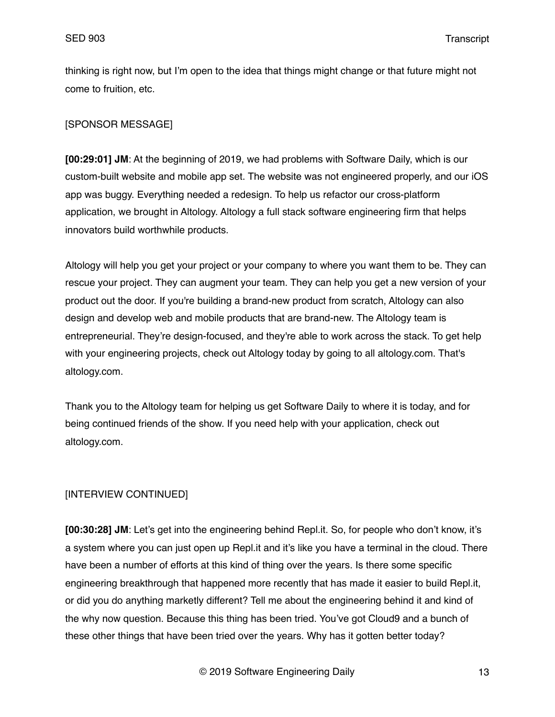thinking is right now, but I'm open to the idea that things might change or that future might not come to fruition, etc.

# [SPONSOR MESSAGE]

**[00:29:01] JM**: At the beginning of 2019, we had problems with Software Daily, which is our custom-built website and mobile app set. The website was not engineered properly, and our iOS app was buggy. Everything needed a redesign. To help us refactor our cross-platform application, we brought in Altology. Altology a full stack software engineering firm that helps innovators build worthwhile products.

Altology will help you get your project or your company to where you want them to be. They can rescue your project. They can augment your team. They can help you get a new version of your product out the door. If you're building a brand-new product from scratch, Altology can also design and develop web and mobile products that are brand-new. The Altology team is entrepreneurial. They're design-focused, and they're able to work across the stack. To get help with your engineering projects, check out Altology today by going to all altology.com. That's altology.com.

Thank you to the Altology team for helping us get Software Daily to where it is today, and for being continued friends of the show. If you need help with your application, check out altology.com.

# [INTERVIEW CONTINUED]

**[00:30:28] JM**: Let's get into the engineering behind Repl.it. So, for people who don't know, it's a system where you can just open up Repl.it and it's like you have a terminal in the cloud. There have been a number of efforts at this kind of thing over the years. Is there some specific engineering breakthrough that happened more recently that has made it easier to build Repl.it, or did you do anything marketly different? Tell me about the engineering behind it and kind of the why now question. Because this thing has been tried. You've got Cloud9 and a bunch of these other things that have been tried over the years. Why has it gotten better today?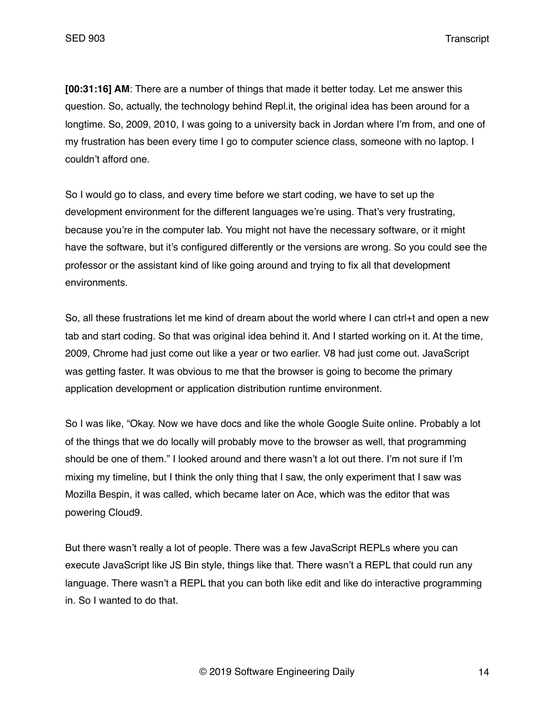**[00:31:16] AM**: There are a number of things that made it better today. Let me answer this question. So, actually, the technology behind Repl.it, the original idea has been around for a longtime. So, 2009, 2010, I was going to a university back in Jordan where I'm from, and one of my frustration has been every time I go to computer science class, someone with no laptop. I couldn't afford one.

So I would go to class, and every time before we start coding, we have to set up the development environment for the different languages we're using. That's very frustrating, because you're in the computer lab. You might not have the necessary software, or it might have the software, but it's configured differently or the versions are wrong. So you could see the professor or the assistant kind of like going around and trying to fix all that development environments.

So, all these frustrations let me kind of dream about the world where I can ctrl+t and open a new tab and start coding. So that was original idea behind it. And I started working on it. At the time, 2009, Chrome had just come out like a year or two earlier. V8 had just come out. JavaScript was getting faster. It was obvious to me that the browser is going to become the primary application development or application distribution runtime environment.

So I was like, "Okay. Now we have docs and like the whole Google Suite online. Probably a lot of the things that we do locally will probably move to the browser as well, that programming should be one of them." I looked around and there wasn't a lot out there. I'm not sure if I'm mixing my timeline, but I think the only thing that I saw, the only experiment that I saw was Mozilla Bespin, it was called, which became later on Ace, which was the editor that was powering Cloud9.

But there wasn't really a lot of people. There was a few JavaScript REPLs where you can execute JavaScript like JS Bin style, things like that. There wasn't a REPL that could run any language. There wasn't a REPL that you can both like edit and like do interactive programming in. So I wanted to do that.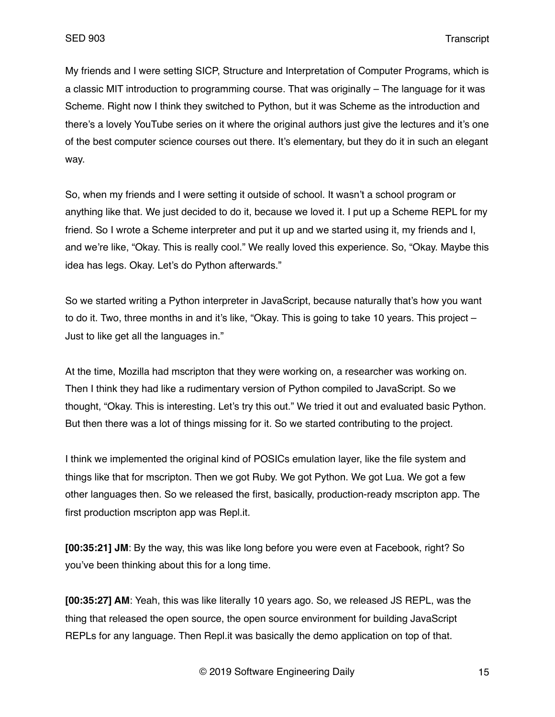My friends and I were setting SICP, Structure and Interpretation of Computer Programs, which is a classic MIT introduction to programming course. That was originally – The language for it was Scheme. Right now I think they switched to Python, but it was Scheme as the introduction and there's a lovely YouTube series on it where the original authors just give the lectures and it's one of the best computer science courses out there. It's elementary, but they do it in such an elegant way.

So, when my friends and I were setting it outside of school. It wasn't a school program or anything like that. We just decided to do it, because we loved it. I put up a Scheme REPL for my friend. So I wrote a Scheme interpreter and put it up and we started using it, my friends and I, and we're like, "Okay. This is really cool." We really loved this experience. So, "Okay. Maybe this idea has legs. Okay. Let's do Python afterwards."

So we started writing a Python interpreter in JavaScript, because naturally that's how you want to do it. Two, three months in and it's like, "Okay. This is going to take 10 years. This project – Just to like get all the languages in."

At the time, Mozilla had mscripton that they were working on, a researcher was working on. Then I think they had like a rudimentary version of Python compiled to JavaScript. So we thought, "Okay. This is interesting. Let's try this out." We tried it out and evaluated basic Python. But then there was a lot of things missing for it. So we started contributing to the project.

I think we implemented the original kind of POSICs emulation layer, like the file system and things like that for mscripton. Then we got Ruby. We got Python. We got Lua. We got a few other languages then. So we released the first, basically, production-ready mscripton app. The first production mscripton app was Repl.it.

**[00:35:21] JM**: By the way, this was like long before you were even at Facebook, right? So you've been thinking about this for a long time.

**[00:35:27] AM**: Yeah, this was like literally 10 years ago. So, we released JS REPL, was the thing that released the open source, the open source environment for building JavaScript REPLs for any language. Then Repl.it was basically the demo application on top of that.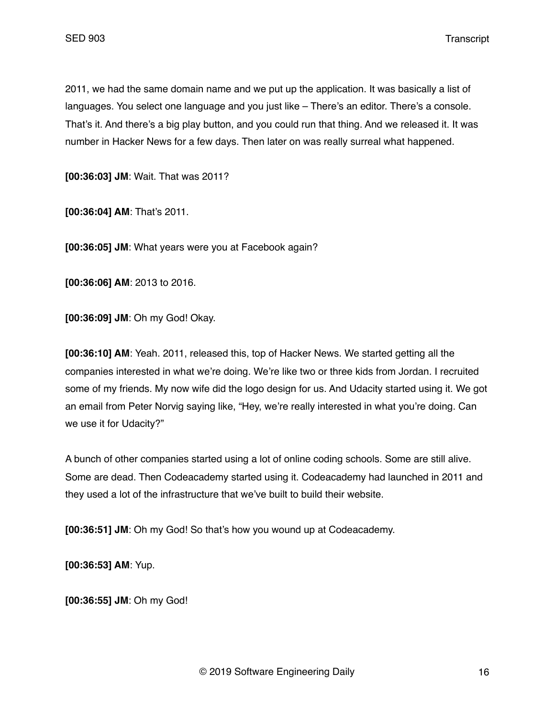2011, we had the same domain name and we put up the application. It was basically a list of languages. You select one language and you just like - There's an editor. There's a console. That's it. And there's a big play button, and you could run that thing. And we released it. It was number in Hacker News for a few days. Then later on was really surreal what happened.

**[00:36:03] JM**: Wait. That was 2011?

**[00:36:04] AM**: That's 2011.

**[00:36:05] JM**: What years were you at Facebook again?

**[00:36:06] AM**: 2013 to 2016.

**[00:36:09] JM**: Oh my God! Okay.

**[00:36:10] AM**: Yeah. 2011, released this, top of Hacker News. We started getting all the companies interested in what we're doing. We're like two or three kids from Jordan. I recruited some of my friends. My now wife did the logo design for us. And Udacity started using it. We got an email from Peter Norvig saying like, "Hey, we're really interested in what you're doing. Can we use it for Udacity?"

A bunch of other companies started using a lot of online coding schools. Some are still alive. Some are dead. Then Codeacademy started using it. Codeacademy had launched in 2011 and they used a lot of the infrastructure that we've built to build their website.

**[00:36:51] JM**: Oh my God! So that's how you wound up at Codeacademy.

**[00:36:53] AM**: Yup.

**[00:36:55] JM**: Oh my God!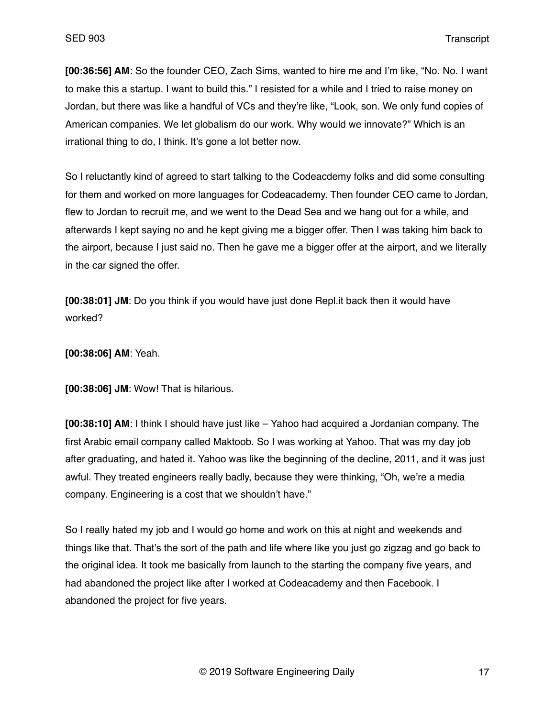**[00:36:56] AM**: So the founder CEO, Zach Sims, wanted to hire me and I'm like, "No. No. I want to make this a startup. I want to build this." I resisted for a while and I tried to raise money on Jordan, but there was like a handful of VCs and they're like, "Look, son. We only fund copies of American companies. We let globalism do our work. Why would we innovate?" Which is an irrational thing to do, I think. It's gone a lot better now.

So I reluctantly kind of agreed to start talking to the Codeacdemy folks and did some consulting for them and worked on more languages for Codeacademy. Then founder CEO came to Jordan, flew to Jordan to recruit me, and we went to the Dead Sea and we hang out for a while, and afterwards I kept saying no and he kept giving me a bigger offer. Then I was taking him back to the airport, because I just said no. Then he gave me a bigger offer at the airport, and we literally in the car signed the offer.

**[00:38:01] JM**: Do you think if you would have just done Repl.it back then it would have worked?

**[00:38:06] AM**: Yeah.

**[00:38:06] JM**: Wow! That is hilarious.

**[00:38:10] AM**: I think I should have just like – Yahoo had acquired a Jordanian company. The first Arabic email company called Maktoob. So I was working at Yahoo. That was my day job after graduating, and hated it. Yahoo was like the beginning of the decline, 2011, and it was just awful. They treated engineers really badly, because they were thinking, "Oh, we're a media company. Engineering is a cost that we shouldn't have."

So I really hated my job and I would go home and work on this at night and weekends and things like that. That's the sort of the path and life where like you just go zigzag and go back to the original idea. It took me basically from launch to the starting the company five years, and had abandoned the project like after I worked at Codeacademy and then Facebook. I abandoned the project for five years.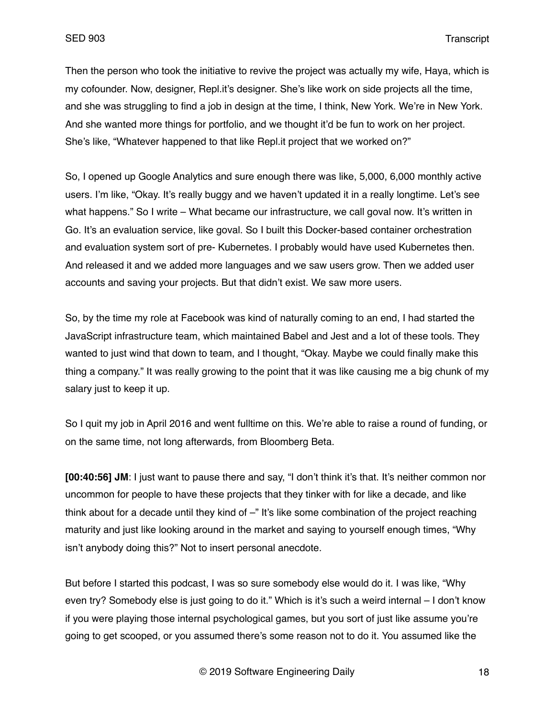Then the person who took the initiative to revive the project was actually my wife, Haya, which is my cofounder. Now, designer, Repl.it's designer. She's like work on side projects all the time, and she was struggling to find a job in design at the time, I think, New York. We're in New York. And she wanted more things for portfolio, and we thought it'd be fun to work on her project. She's like, "Whatever happened to that like Repl.it project that we worked on?"

So, I opened up Google Analytics and sure enough there was like, 5,000, 6,000 monthly active users. I'm like, "Okay. It's really buggy and we haven't updated it in a really longtime. Let's see what happens." So I write – What became our infrastructure, we call goval now. It's written in Go. It's an evaluation service, like goval. So I built this Docker-based container orchestration and evaluation system sort of pre- Kubernetes. I probably would have used Kubernetes then. And released it and we added more languages and we saw users grow. Then we added user accounts and saving your projects. But that didn't exist. We saw more users.

So, by the time my role at Facebook was kind of naturally coming to an end, I had started the JavaScript infrastructure team, which maintained Babel and Jest and a lot of these tools. They wanted to just wind that down to team, and I thought, "Okay. Maybe we could finally make this thing a company." It was really growing to the point that it was like causing me a big chunk of my salary just to keep it up.

So I quit my job in April 2016 and went fulltime on this. We're able to raise a round of funding, or on the same time, not long afterwards, from Bloomberg Beta.

**[00:40:56] JM**: I just want to pause there and say, "I don't think it's that. It's neither common nor uncommon for people to have these projects that they tinker with for like a decade, and like think about for a decade until they kind of –" It's like some combination of the project reaching maturity and just like looking around in the market and saying to yourself enough times, "Why isn't anybody doing this?" Not to insert personal anecdote.

But before I started this podcast, I was so sure somebody else would do it. I was like, "Why even try? Somebody else is just going to do it." Which is it's such a weird internal – I don't know if you were playing those internal psychological games, but you sort of just like assume you're going to get scooped, or you assumed there's some reason not to do it. You assumed like the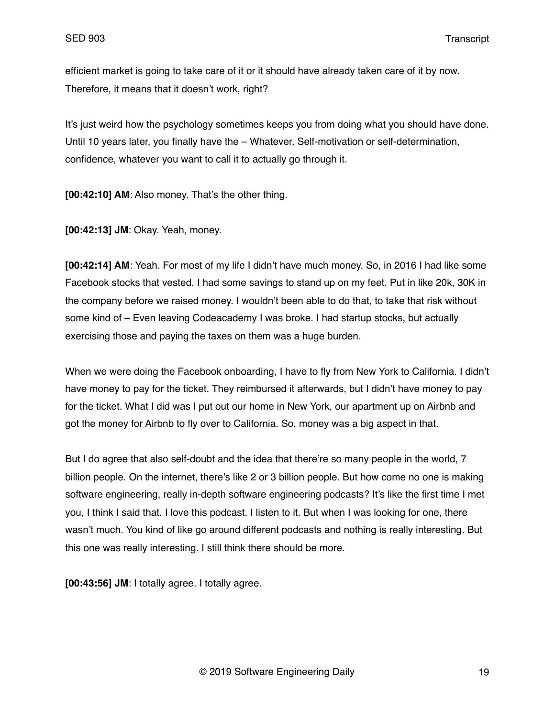efficient market is going to take care of it or it should have already taken care of it by now. Therefore, it means that it doesn't work, right?

It's just weird how the psychology sometimes keeps you from doing what you should have done. Until 10 years later, you finally have the – Whatever. Self-motivation or self-determination, confidence, whatever you want to call it to actually go through it.

**[00:42:10] AM**: Also money. That's the other thing.

**[00:42:13] JM**: Okay. Yeah, money.

**[00:42:14] AM**: Yeah. For most of my life I didn't have much money. So, in 2016 I had like some Facebook stocks that vested. I had some savings to stand up on my feet. Put in like 20k, 30K in the company before we raised money. I wouldn't been able to do that, to take that risk without some kind of – Even leaving Codeacademy I was broke. I had startup stocks, but actually exercising those and paying the taxes on them was a huge burden.

When we were doing the Facebook onboarding, I have to fly from New York to California. I didn't have money to pay for the ticket. They reimbursed it afterwards, but I didn't have money to pay for the ticket. What I did was I put out our home in New York, our apartment up on Airbnb and got the money for Airbnb to fly over to California. So, money was a big aspect in that.

But I do agree that also self-doubt and the idea that there're so many people in the world, 7 billion people. On the internet, there's like 2 or 3 billion people. But how come no one is making software engineering, really in-depth software engineering podcasts? It's like the first time I met you, I think I said that. I love this podcast. I listen to it. But when I was looking for one, there wasn't much. You kind of like go around different podcasts and nothing is really interesting. But this one was really interesting. I still think there should be more.

**[00:43:56] JM**: I totally agree. I totally agree.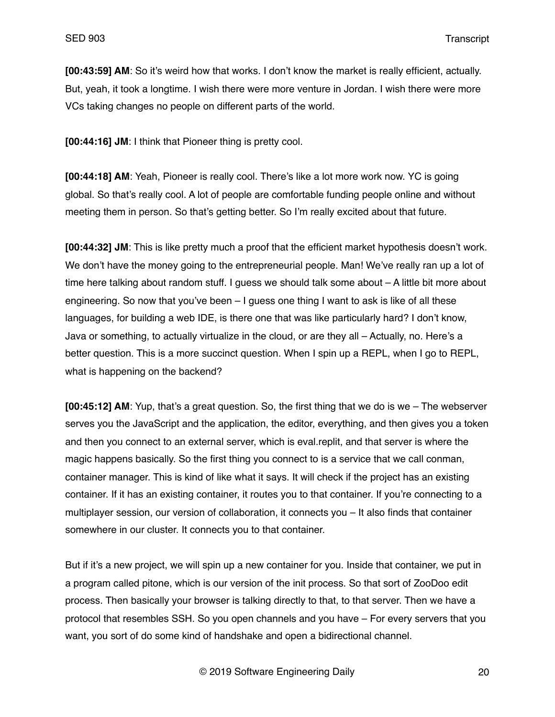**[00:43:59] AM**: So it's weird how that works. I don't know the market is really efficient, actually. But, yeah, it took a longtime. I wish there were more venture in Jordan. I wish there were more VCs taking changes no people on different parts of the world.

**[00:44:16] JM**: I think that Pioneer thing is pretty cool.

**[00:44:18] AM**: Yeah, Pioneer is really cool. There's like a lot more work now. YC is going global. So that's really cool. A lot of people are comfortable funding people online and without meeting them in person. So that's getting better. So I'm really excited about that future.

**[00:44:32] JM**: This is like pretty much a proof that the efficient market hypothesis doesn't work. We don't have the money going to the entrepreneurial people. Man! We've really ran up a lot of time here talking about random stuff. I guess we should talk some about – A little bit more about engineering. So now that you've been – I guess one thing I want to ask is like of all these languages, for building a web IDE, is there one that was like particularly hard? I don't know, Java or something, to actually virtualize in the cloud, or are they all – Actually, no. Here's a better question. This is a more succinct question. When I spin up a REPL, when I go to REPL, what is happening on the backend?

**[00:45:12] AM**: Yup, that's a great question. So, the first thing that we do is we – The webserver serves you the JavaScript and the application, the editor, everything, and then gives you a token and then you connect to an external server, which is eval.replit, and that server is where the magic happens basically. So the first thing you connect to is a service that we call conman, container manager. This is kind of like what it says. It will check if the project has an existing container. If it has an existing container, it routes you to that container. If you're connecting to a multiplayer session, our version of collaboration, it connects you – It also finds that container somewhere in our cluster. It connects you to that container.

But if it's a new project, we will spin up a new container for you. Inside that container, we put in a program called pitone, which is our version of the init process. So that sort of ZooDoo edit process. Then basically your browser is talking directly to that, to that server. Then we have a protocol that resembles SSH. So you open channels and you have – For every servers that you want, you sort of do some kind of handshake and open a bidirectional channel.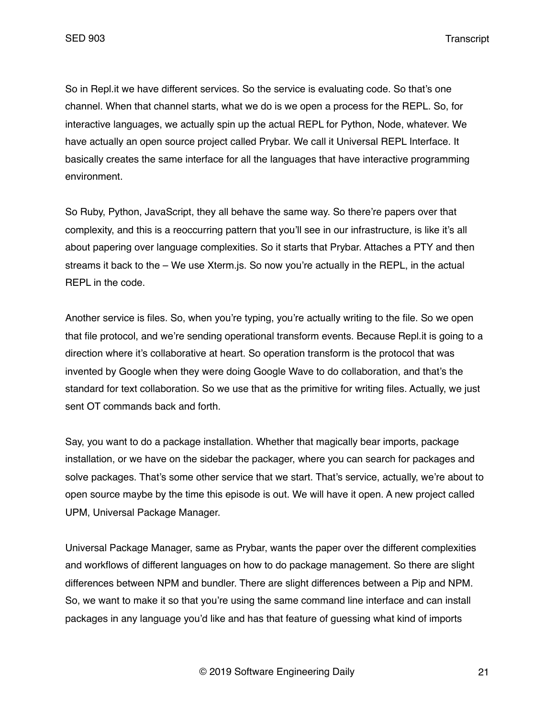So in Repl.it we have different services. So the service is evaluating code. So that's one channel. When that channel starts, what we do is we open a process for the REPL. So, for interactive languages, we actually spin up the actual REPL for Python, Node, whatever. We have actually an open source project called Prybar. We call it Universal REPL Interface. It basically creates the same interface for all the languages that have interactive programming environment.

So Ruby, Python, JavaScript, they all behave the same way. So there're papers over that complexity, and this is a reoccurring pattern that you'll see in our infrastructure, is like it's all about papering over language complexities. So it starts that Prybar. Attaches a PTY and then streams it back to the – We use Xterm. is. So now you're actually in the REPL, in the actual REPL in the code.

Another service is files. So, when you're typing, you're actually writing to the file. So we open that file protocol, and we're sending operational transform events. Because Repl.it is going to a direction where it's collaborative at heart. So operation transform is the protocol that was invented by Google when they were doing Google Wave to do collaboration, and that's the standard for text collaboration. So we use that as the primitive for writing files. Actually, we just sent OT commands back and forth.

Say, you want to do a package installation. Whether that magically bear imports, package installation, or we have on the sidebar the packager, where you can search for packages and solve packages. That's some other service that we start. That's service, actually, we're about to open source maybe by the time this episode is out. We will have it open. A new project called UPM, Universal Package Manager.

Universal Package Manager, same as Prybar, wants the paper over the different complexities and workflows of different languages on how to do package management. So there are slight differences between NPM and bundler. There are slight differences between a Pip and NPM. So, we want to make it so that you're using the same command line interface and can install packages in any language you'd like and has that feature of guessing what kind of imports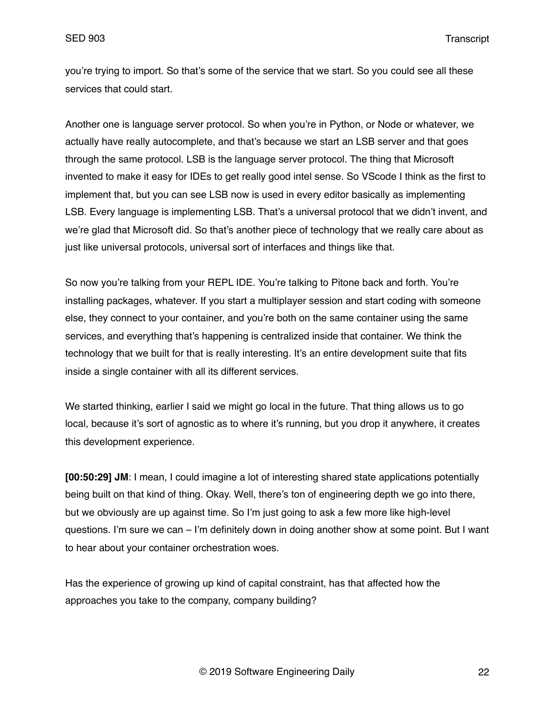you're trying to import. So that's some of the service that we start. So you could see all these services that could start.

Another one is language server protocol. So when you're in Python, or Node or whatever, we actually have really autocomplete, and that's because we start an LSB server and that goes through the same protocol. LSB is the language server protocol. The thing that Microsoft invented to make it easy for IDEs to get really good intel sense. So VScode I think as the first to implement that, but you can see LSB now is used in every editor basically as implementing LSB. Every language is implementing LSB. That's a universal protocol that we didn't invent, and we're glad that Microsoft did. So that's another piece of technology that we really care about as just like universal protocols, universal sort of interfaces and things like that.

So now you're talking from your REPL IDE. You're talking to Pitone back and forth. You're installing packages, whatever. If you start a multiplayer session and start coding with someone else, they connect to your container, and you're both on the same container using the same services, and everything that's happening is centralized inside that container. We think the technology that we built for that is really interesting. It's an entire development suite that fits inside a single container with all its different services.

We started thinking, earlier I said we might go local in the future. That thing allows us to go local, because it's sort of agnostic as to where it's running, but you drop it anywhere, it creates this development experience.

**[00:50:29] JM**: I mean, I could imagine a lot of interesting shared state applications potentially being built on that kind of thing. Okay. Well, there's ton of engineering depth we go into there, but we obviously are up against time. So I'm just going to ask a few more like high-level questions. I'm sure we can – I'm definitely down in doing another show at some point. But I want to hear about your container orchestration woes.

Has the experience of growing up kind of capital constraint, has that affected how the approaches you take to the company, company building?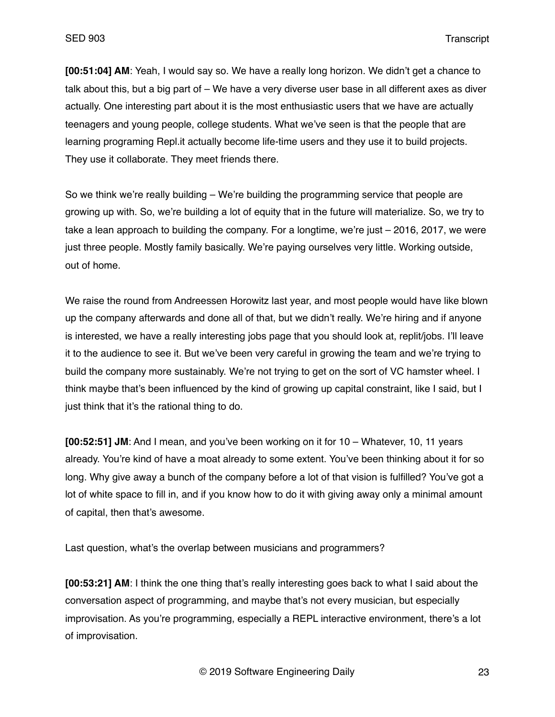**[00:51:04] AM**: Yeah, I would say so. We have a really long horizon. We didn't get a chance to talk about this, but a big part of – We have a very diverse user base in all different axes as diver actually. One interesting part about it is the most enthusiastic users that we have are actually teenagers and young people, college students. What we've seen is that the people that are learning programing Repl.it actually become life-time users and they use it to build projects. They use it collaborate. They meet friends there.

So we think we're really building – We're building the programming service that people are growing up with. So, we're building a lot of equity that in the future will materialize. So, we try to take a lean approach to building the company. For a longtime, we're just – 2016, 2017, we were just three people. Mostly family basically. We're paying ourselves very little. Working outside, out of home.

We raise the round from Andreessen Horowitz last year, and most people would have like blown up the company afterwards and done all of that, but we didn't really. We're hiring and if anyone is interested, we have a really interesting jobs page that you should look at, replit/jobs. I'll leave it to the audience to see it. But we've been very careful in growing the team and we're trying to build the company more sustainably. We're not trying to get on the sort of VC hamster wheel. I think maybe that's been influenced by the kind of growing up capital constraint, like I said, but I just think that it's the rational thing to do.

**[00:52:51] JM**: And I mean, and you've been working on it for 10 – Whatever, 10, 11 years already. You're kind of have a moat already to some extent. You've been thinking about it for so long. Why give away a bunch of the company before a lot of that vision is fulfilled? You've got a lot of white space to fill in, and if you know how to do it with giving away only a minimal amount of capital, then that's awesome.

Last question, what's the overlap between musicians and programmers?

**[00:53:21] AM**: I think the one thing that's really interesting goes back to what I said about the conversation aspect of programming, and maybe that's not every musician, but especially improvisation. As you're programming, especially a REPL interactive environment, there's a lot of improvisation.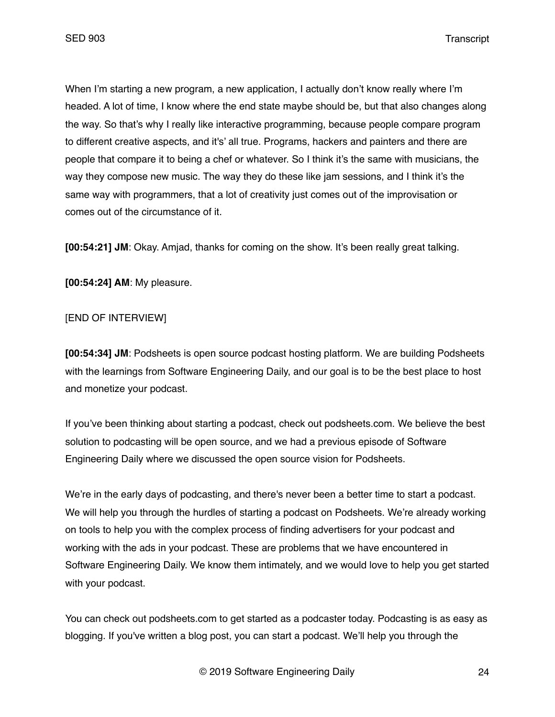When I'm starting a new program, a new application, I actually don't know really where I'm headed. A lot of time, I know where the end state maybe should be, but that also changes along the way. So that's why I really like interactive programming, because people compare program to different creative aspects, and it's' all true. Programs, hackers and painters and there are people that compare it to being a chef or whatever. So I think it's the same with musicians, the way they compose new music. The way they do these like jam sessions, and I think it's the same way with programmers, that a lot of creativity just comes out of the improvisation or comes out of the circumstance of it.

**[00:54:21] JM**: Okay. Amjad, thanks for coming on the show. It's been really great talking.

**[00:54:24] AM**: My pleasure.

# [END OF INTERVIEW]

**[00:54:34] JM**: Podsheets is open source podcast hosting platform. We are building Podsheets with the learnings from Software Engineering Daily, and our goal is to be the best place to host and monetize your podcast.

If you've been thinking about starting a podcast, check out podsheets.com. We believe the best solution to podcasting will be open source, and we had a previous episode of Software Engineering Daily where we discussed the open source vision for Podsheets.

We're in the early days of podcasting, and there's never been a better time to start a podcast. We will help you through the hurdles of starting a podcast on Podsheets. We're already working on tools to help you with the complex process of finding advertisers for your podcast and working with the ads in your podcast. These are problems that we have encountered in Software Engineering Daily. We know them intimately, and we would love to help you get started with your podcast.

You can check out podsheets.com to get started as a podcaster today. Podcasting is as easy as blogging. If you've written a blog post, you can start a podcast. We'll help you through the

© 2019 Software Engineering Daily 24